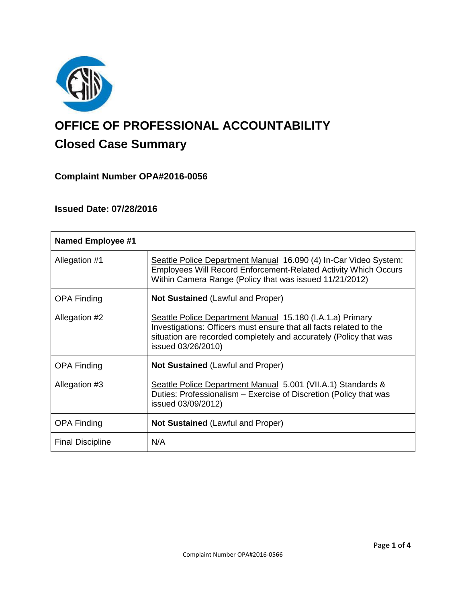

# **OFFICE OF PROFESSIONAL ACCOUNTABILITY Closed Case Summary**

## **Complaint Number OPA#2016-0056**

## **Issued Date: 07/28/2016**

| <b>Named Employee #1</b> |                                                                                                                                                                                                                            |
|--------------------------|----------------------------------------------------------------------------------------------------------------------------------------------------------------------------------------------------------------------------|
| Allegation #1            | Seattle Police Department Manual 16.090 (4) In-Car Video System:<br><b>Employees Will Record Enforcement-Related Activity Which Occurs</b><br>Within Camera Range (Policy that was issued 11/21/2012)                      |
| <b>OPA Finding</b>       | <b>Not Sustained (Lawful and Proper)</b>                                                                                                                                                                                   |
| Allegation #2            | Seattle Police Department Manual 15.180 (I.A.1.a) Primary<br>Investigations: Officers must ensure that all facts related to the<br>situation are recorded completely and accurately (Policy that was<br>issued 03/26/2010) |
| <b>OPA Finding</b>       | <b>Not Sustained (Lawful and Proper)</b>                                                                                                                                                                                   |
| Allegation #3            | Seattle Police Department Manual 5.001 (VII.A.1) Standards &<br>Duties: Professionalism – Exercise of Discretion (Policy that was<br>issued 03/09/2012)                                                                    |
| <b>OPA Finding</b>       | <b>Not Sustained (Lawful and Proper)</b>                                                                                                                                                                                   |
| <b>Final Discipline</b>  | N/A                                                                                                                                                                                                                        |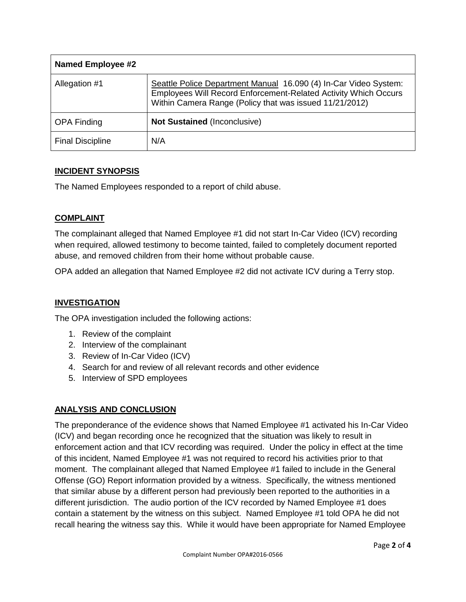| <b>Named Employee #2</b> |                                                                                                                                                                                                       |
|--------------------------|-------------------------------------------------------------------------------------------------------------------------------------------------------------------------------------------------------|
| Allegation #1            | Seattle Police Department Manual 16.090 (4) In-Car Video System:<br><b>Employees Will Record Enforcement-Related Activity Which Occurs</b><br>Within Camera Range (Policy that was issued 11/21/2012) |
| <b>OPA Finding</b>       | <b>Not Sustained (Inconclusive)</b>                                                                                                                                                                   |
| <b>Final Discipline</b>  | N/A                                                                                                                                                                                                   |

## **INCIDENT SYNOPSIS**

The Named Employees responded to a report of child abuse.

### **COMPLAINT**

The complainant alleged that Named Employee #1 did not start In-Car Video (ICV) recording when required, allowed testimony to become tainted, failed to completely document reported abuse, and removed children from their home without probable cause.

OPA added an allegation that Named Employee #2 did not activate ICV during a Terry stop.

## **INVESTIGATION**

The OPA investigation included the following actions:

- 1. Review of the complaint
- 2. Interview of the complainant
- 3. Review of In-Car Video (ICV)
- 4. Search for and review of all relevant records and other evidence
- 5. Interview of SPD employees

## **ANALYSIS AND CONCLUSION**

The preponderance of the evidence shows that Named Employee #1 activated his In-Car Video (ICV) and began recording once he recognized that the situation was likely to result in enforcement action and that ICV recording was required. Under the policy in effect at the time of this incident, Named Employee #1 was not required to record his activities prior to that moment. The complainant alleged that Named Employee #1 failed to include in the General Offense (GO) Report information provided by a witness. Specifically, the witness mentioned that similar abuse by a different person had previously been reported to the authorities in a different jurisdiction. The audio portion of the ICV recorded by Named Employee #1 does contain a statement by the witness on this subject. Named Employee #1 told OPA he did not recall hearing the witness say this. While it would have been appropriate for Named Employee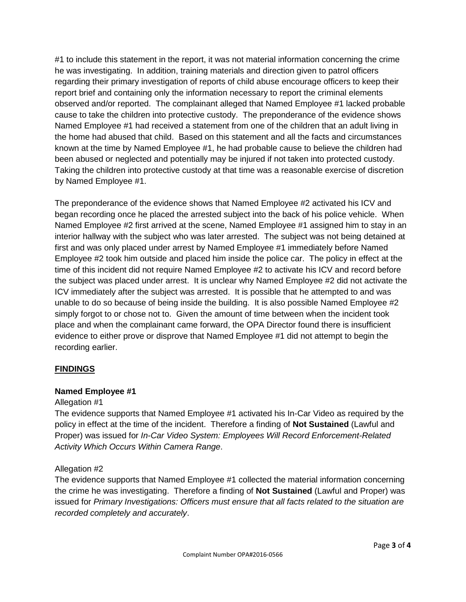#1 to include this statement in the report, it was not material information concerning the crime he was investigating. In addition, training materials and direction given to patrol officers regarding their primary investigation of reports of child abuse encourage officers to keep their report brief and containing only the information necessary to report the criminal elements observed and/or reported. The complainant alleged that Named Employee #1 lacked probable cause to take the children into protective custody. The preponderance of the evidence shows Named Employee #1 had received a statement from one of the children that an adult living in the home had abused that child. Based on this statement and all the facts and circumstances known at the time by Named Employee #1, he had probable cause to believe the children had been abused or neglected and potentially may be injured if not taken into protected custody. Taking the children into protective custody at that time was a reasonable exercise of discretion by Named Employee #1.

The preponderance of the evidence shows that Named Employee #2 activated his ICV and began recording once he placed the arrested subject into the back of his police vehicle. When Named Employee #2 first arrived at the scene, Named Employee #1 assigned him to stay in an interior hallway with the subject who was later arrested. The subject was not being detained at first and was only placed under arrest by Named Employee #1 immediately before Named Employee #2 took him outside and placed him inside the police car. The policy in effect at the time of this incident did not require Named Employee #2 to activate his ICV and record before the subject was placed under arrest. It is unclear why Named Employee #2 did not activate the ICV immediately after the subject was arrested. It is possible that he attempted to and was unable to do so because of being inside the building. It is also possible Named Employee #2 simply forgot to or chose not to. Given the amount of time between when the incident took place and when the complainant came forward, the OPA Director found there is insufficient evidence to either prove or disprove that Named Employee #1 did not attempt to begin the recording earlier.

## **FINDINGS**

### **Named Employee #1**

### Allegation #1

The evidence supports that Named Employee #1 activated his In-Car Video as required by the policy in effect at the time of the incident. Therefore a finding of **Not Sustained** (Lawful and Proper) was issued for *In-Car Video System: Employees Will Record Enforcement-Related Activity Which Occurs Within Camera Range*.

### Allegation #2

The evidence supports that Named Employee #1 collected the material information concerning the crime he was investigating. Therefore a finding of **Not Sustained** (Lawful and Proper) was issued for *Primary Investigations: Officers must ensure that all facts related to the situation are recorded completely and accurately*.